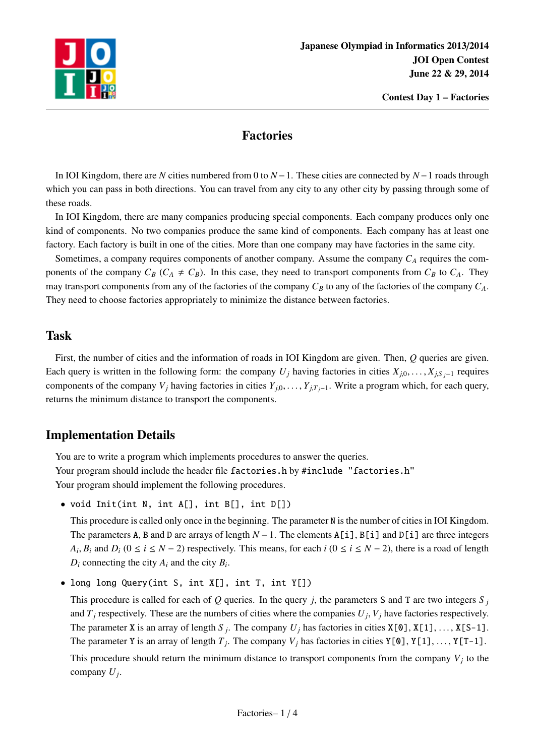

## Factories

In IOI Kingdom, there are *N* cities numbered from 0 to *N*−1. These cities are connected by *N*−1 roads through which you can pass in both directions. You can travel from any city to any other city by passing through some of these roads.

In IOI Kingdom, there are many companies producing special components. Each company produces only one kind of components. No two companies produce the same kind of components. Each company has at least one factory. Each factory is built in one of the cities. More than one company may have factories in the same city.

Sometimes, a company requires components of another company. Assume the company *C<sup>A</sup>* requires the components of the company  $C_B$  ( $C_A \neq C_B$ ). In this case, they need to transport components from  $C_B$  to  $C_A$ . They may transport components from any of the factories of the company  $C_B$  to any of the factories of the company  $C_A$ . They need to choose factories appropriately to minimize the distance between factories.

## Task

First, the number of cities and the information of roads in IOI Kingdom are given. Then, *Q* queries are given. Each query is written in the following form: the company  $U_j$  having factories in cities  $X_{i,0}, \ldots, X_{i,S}$  *j*−1 requires components of the company *V<sub>j</sub>* having factories in cities  $Y_{j,0}, \ldots, Y_{j,T_j-1}$ . Write a program which, for each query, returns the minimum distance to transport the components.

# Implementation Details

You are to write a program which implements procedures to answer the queries. Your program should include the header file factories.h by #include "factories.h" Your program should implement the following procedures.

• void Init(int N, int A[], int B[], int D[])

This procedure is called only once in the beginning. The parameter N is the number of cities in IOI Kingdom. The parameters A, B and D are arrays of length *N* − 1. The elements A[i], B[i] and D[i] are three integers  $A_i, B_i$  and  $D_i$  ( $0 \le i \le N - 2$ ) respectively. This means, for each  $i$  ( $0 \le i \le N - 2$ ), there is a road of length  $D_i$  connecting the city  $A_i$  and the city  $B_i$ .

• long long Query(int S, int X[], int T, int Y[])

This procedure is called for each of  $Q$  queries. In the query  $j$ , the parameters  $S$  and  $T$  are two integers  $S_j$ and  $T_j$  respectively. These are the numbers of cities where the companies  $U_j$ ,  $V_j$  have factories respectively. The parameter X is an array of length  $S_j$ . The company  $U_j$  has factories in cities  $X[0], X[1], \ldots, X[S-1]$ . The parameter Y is an array of length  $T_j$ . The company  $V_j$  has factories in cities Y[0], Y[1], ..., Y[T-1].

This procedure should return the minimum distance to transport components from the company  $V_j$  to the company *U<sup>j</sup>* .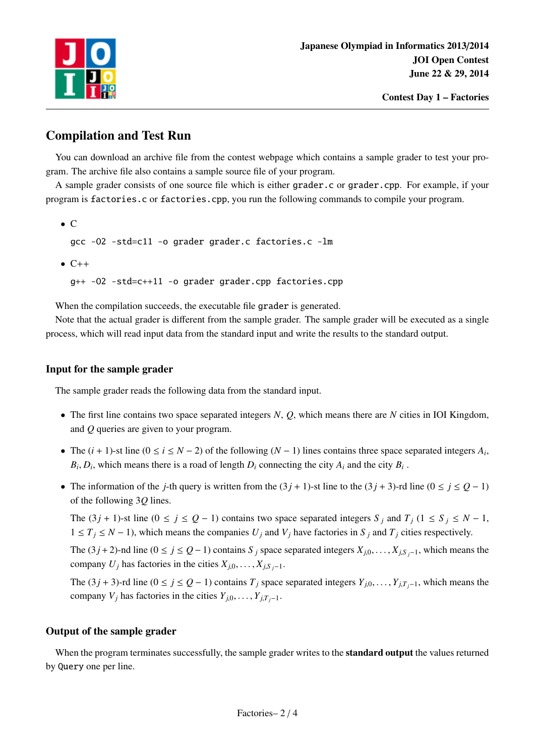

# Compilation and Test Run

You can download an archive file from the contest webpage which contains a sample grader to test your program. The archive file also contains a sample source file of your program.

A sample grader consists of one source file which is either grader.c or grader.cpp. For example, if your program is factories.c or factories.cpp, you run the following commands to compile your program.

• C

gcc -O2 -std=c11 -o grader grader.c factories.c -lm

 $\bullet$  C++

g++ -O2 -std=c++11 -o grader grader.cpp factories.cpp

When the compilation succeeds, the executable file grader is generated.

Note that the actual grader is different from the sample grader. The sample grader will be executed as a single process, which will read input data from the standard input and write the results to the standard output.

#### Input for the sample grader

The sample grader reads the following data from the standard input.

- The first line contains two space separated integers *N*, *Q*, which means there are *N* cities in IOI Kingdom, and *Q* queries are given to your program.
- The  $(i + 1)$ -st line  $(0 \le i \le N 2)$  of the following  $(N 1)$  lines contains three space separated integers  $A_i$ ,  $B_i, D_i$ , which means there is a road of length  $D_i$  connecting the city  $A_i$  and the city  $B_i$ .
- The information of the *j*-th query is written from the  $(3j + 1)$ -st line to the  $(3j + 3)$ -rd line  $(0 \le j \le Q 1)$ of the following 3*Q* lines.

The  $(3j + 1)$ -st line  $(0 \le j \le Q - 1)$  contains two space separated integers  $S_j$  and  $T_j$   $(1 \le S_j \le N - 1)$ ,  $1 ≤ T<sub>j</sub> ≤ N − 1$ , which means the companies  $U<sub>j</sub>$  and  $V<sub>j</sub>$  have factories in  $S<sub>j</sub>$  and  $T<sub>j</sub>$  cities respectively.

The (3*j* + 2)-nd line (0 ≤ *j* ≤  $Q$  − 1) contains *S j* space separated integers  $X_{i,0}, \ldots, X_{i,S}$  *j*−1, which means the company *U<sub>j</sub>* has factories in the cities  $X_{j,0}, \ldots, X_{j,S}$  *j*−1.

The (3*j* + 3)-rd line (0 ≤ *j* ≤ *Q* − 1) contains *T<sub>i</sub>* space separated integers  $Y_{i,0}, \ldots, Y_{i,T_i-1}$ , which means the company *V*<sup>*j*</sup> has factories in the cities  $Y_{i,0}, \ldots, Y_{i,T_i-1}$ .

#### Output of the sample grader

When the program terminates successfully, the sample grader writes to the **standard output** the values returned by Query one per line.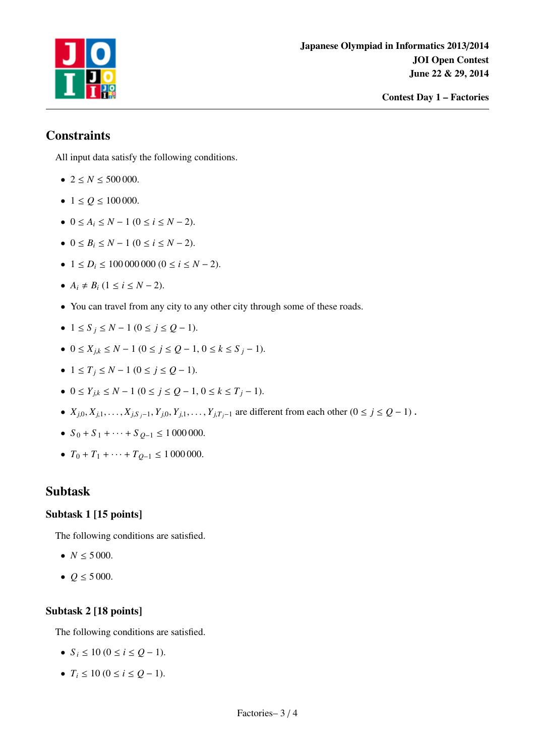

# **Constraints**

All input data satisfy the following conditions.

- $2 \le N \le 500000$ .
- $1 \le Q \le 100\,000$ .
- $0 \le A_i \le N 1$   $(0 \le i \le N 2)$ .
- $0 \le B_i \le N 1$   $(0 \le i \le N 2)$ .
- $\bullet$  1 ≤ *D<sub>i</sub>* ≤ 100 000 000 (0 ≤ *i* ≤ *N* − 2).
- $A_i \neq B_i$  (1 ≤ *i* ≤ *N* − 2).
- You can travel from any city to any other city through some of these roads.
- 1 ≤ *S <sup>j</sup>* ≤ *N* − 1 (0 ≤ *j* ≤ *Q* − 1).
- 0 ≤ *Xj*,*<sup>k</sup>* ≤ *N* − 1 (0 ≤ *j* ≤ *Q* − 1, 0 ≤ *k* ≤ *S <sup>j</sup>* − 1).
- $\bullet$  1 ≤ *T*<sub>*i*</sub> ≤ *N* − 1 (0 ≤ *j* ≤ *Q* − 1).
- 0 ≤ *Yj*,*<sup>k</sup>* ≤ *N* − 1 (0 ≤ *j* ≤ *Q* − 1, 0 ≤ *k* ≤ *T <sup>j</sup>* − 1).
- $X_{j,0}, X_{j,1}, \ldots, X_{j,S_j-1}, Y_{j,0}, Y_{j,1}, \ldots, Y_{j,T_j-1}$  are different from each other  $(0 \le j \le Q-1)$ .
- $S_0 + S_1 + \cdots + S_{Q-1} \le 1000000$ .
- $T_0 + T_1 + \cdots + T_{Q-1} \le 1000000$ .

## Subtask

### Subtask 1 [15 points]

The following conditions are satisfied.

- $N \le 5000$ .
- $Q \le 5000$ .

### Subtask 2 [18 points]

The following conditions are satisfied.

- $S_i \leq 10$  ( $0 \leq i \leq Q-1$ ).
- $T_i \leq 10$  ( $0 \leq i \leq Q 1$ ).